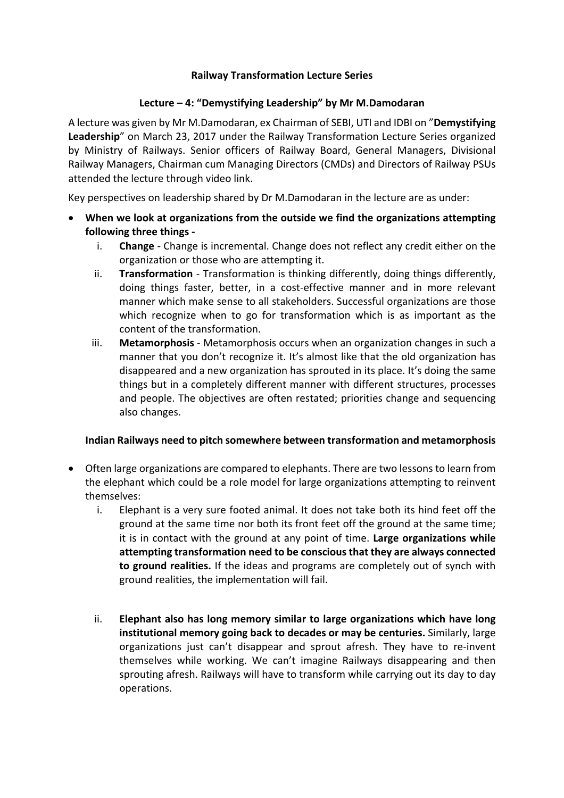### **Railway Transformation Lecture Series**

#### Lecture – 4: "Demystifying Leadership" by Mr M.Damodaran

A lecture was given by Mr M.Damodaran, ex Chairman of SEBI, UTI and IDBI on "Demystifying **Leadership**" on March 23, 2017 under the Railway Transformation Lecture Series organized by Ministry of Railways. Senior officers of Railway Board, General Managers, Divisional Railway Managers, Chairman cum Managing Directors (CMDs) and Directors of Railway PSUs attended the lecture through video link.

Key perspectives on leadership shared by Dr M.Damodaran in the lecture are as under:

- When we look at organizations from the outside we find the organizations attempting **following three things** 
	- i. **Change** Change is incremental. Change does not reflect any credit either on the organization or those who are attempting it.
	- ii. **Transformation** Transformation is thinking differently, doing things differently, doing things faster, better, in a cost-effective manner and in more relevant manner which make sense to all stakeholders. Successful organizations are those which recognize when to go for transformation which is as important as the content of the transformation.
	- iii. **Metamorphosis** Metamorphosis occurs when an organization changes in such a manner that you don't recognize it. It's almost like that the old organization has disappeared and a new organization has sprouted in its place. It's doing the same things but in a completely different manner with different structures, processes and people. The objectives are often restated; priorities change and sequencing also changes.

#### **Indian Railways need to pitch somewhere between transformation and metamorphosis**

- Often large organizations are compared to elephants. There are two lessons to learn from the elephant which could be a role model for large organizations attempting to reinvent themselves:
	- i. Elephant is a very sure footed animal. It does not take both its hind feet off the ground at the same time nor both its front feet off the ground at the same time; it is in contact with the ground at any point of time. Large organizations while attempting transformation need to be conscious that they are always connected **to ground realities.** If the ideas and programs are completely out of synch with ground realities, the implementation will fail.
	- $i$ . **Elephant also has long memory similar to large organizations which have long institutional memory going back to decades or may be centuries.** Similarly, large organizations just can't disappear and sprout afresh. They have to re-invent themselves while working. We can't imagine Railways disappearing and then sprouting afresh. Railways will have to transform while carrying out its day to day operations.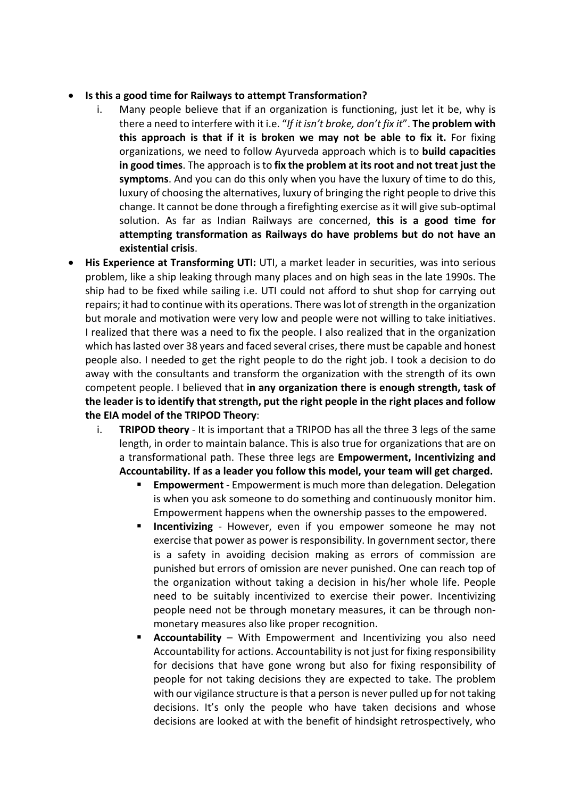#### • Is this a good time for Railways to attempt Transformation?

- i. Many people believe that if an organization is functioning, just let it be, why is there a need to interfere with it i.e. "If it isn't broke, don't fix it". The problem with **this approach is that if it is broken we may not be able to fix it.** For fixing organizations, we need to follow Ayurveda approach which is to **build capacities in good times**. The approach is to fix the problem at its root and not treat just the symptoms. And you can do this only when you have the luxury of time to do this, luxury of choosing the alternatives, luxury of bringing the right people to drive this change. It cannot be done through a firefighting exercise as it will give sub-optimal solution. As far as Indian Railways are concerned, this is a good time for attempting transformation as Railways do have problems but do not have an **existential crisis**.
- **His Experience at Transforming UTI:** UTI, a market leader in securities, was into serious problem, like a ship leaking through many places and on high seas in the late 1990s. The ship had to be fixed while sailing i.e. UTI could not afford to shut shop for carrying out repairs; it had to continue with its operations. There was lot of strength in the organization but morale and motivation were very low and people were not willing to take initiatives. I realized that there was a need to fix the people. I also realized that in the organization which has lasted over 38 years and faced several crises, there must be capable and honest people also. I needed to get the right people to do the right job. I took a decision to do away with the consultants and transform the organization with the strength of its own competent people. I believed that in any organization there is enough strength, task of the leader is to identify that strength, put the right people in the right places and follow **the EIA model of the TRIPOD Theory:** 
	- i. **TRIPOD theory** It is important that a TRIPOD has all the three 3 legs of the same length, in order to maintain balance. This is also true for organizations that are on a transformational path. These three legs are **Empowerment, Incentivizing and** Accountability. If as a leader you follow this model, your team will get charged.
		- **Empowerment** Empowerment is much more than delegation. Delegation is when you ask someone to do something and continuously monitor him. Empowerment happens when the ownership passes to the empowered.
		- **Incentivizing** However, even if you empower someone he may not exercise that power as power is responsibility. In government sector, there is a safety in avoiding decision making as errors of commission are punished but errors of omission are never punished. One can reach top of the organization without taking a decision in his/her whole life. People need to be suitably incentivized to exercise their power. Incentivizing people need not be through monetary measures, it can be through nonmonetary measures also like proper recognition.
		- Accountability With Empowerment and Incentivizing you also need Accountability for actions. Accountability is not just for fixing responsibility for decisions that have gone wrong but also for fixing responsibility of people for not taking decisions they are expected to take. The problem with our vigilance structure is that a person is never pulled up for not taking decisions. It's only the people who have taken decisions and whose decisions are looked at with the benefit of hindsight retrospectively, who